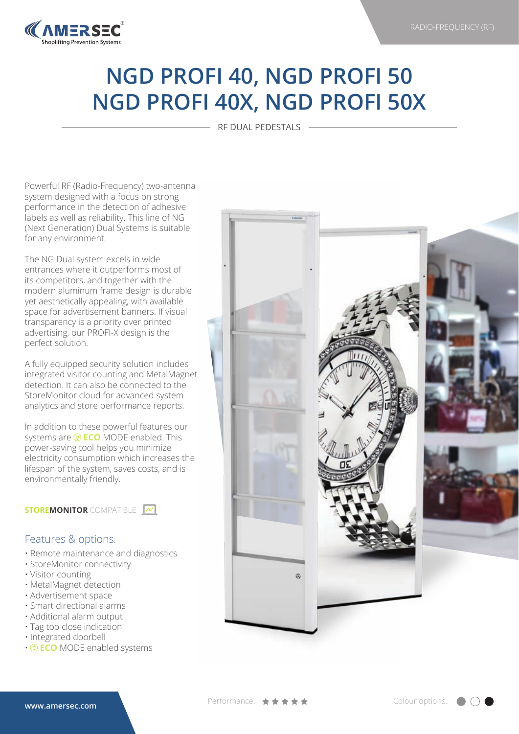

## **NGD PROFI 40, NGD PROFI 50 NGD PROFI 40X, NGD PROFI 50X**

RF DUAL PEDESTALS

Powerful RF (Radio-Frequency) two-antenna system designed with a focus on strong performance in the detection of adhesive labels as well as reliability. This line of NG (Next Generation) Dual Systems is suitable for any environment.

The NG Dual system excels in wide entrances where it outperforms most of its competitors, and together with the modern aluminum frame design is durable yet aesthetically appealing, with available space for advertisement banners. If visual transparency is a priority over printed advertising, our PROFI-X design is the perfect solution.

A fully equipped security solution includes integrated visitor counting and MetalMagnet detection. It can also be connected to the StoreMonitor cloud for advanced system analytics and store performance reports.

In addition to these powerful features our systems are  $\circledR$  **ECO** MODE enabled. This power-saving tool helps you minimize electricity consumption which increases the lifespan of the system, saves costs, and is environmentally friendly.

**STOREMONITOR** COMPATIBLE  $\boxed{\sim}$ 

## Features & options:

- Remote maintenance and diagnostics
- StoreMonitor connectivity
- Visitor counting
- MetalMagnet detection
- Advertisement space
- Smart directional alarms
- Additional alarm output
- Tag too close indication
- Integrated doorbell
- **ECO** MODE enabled systems